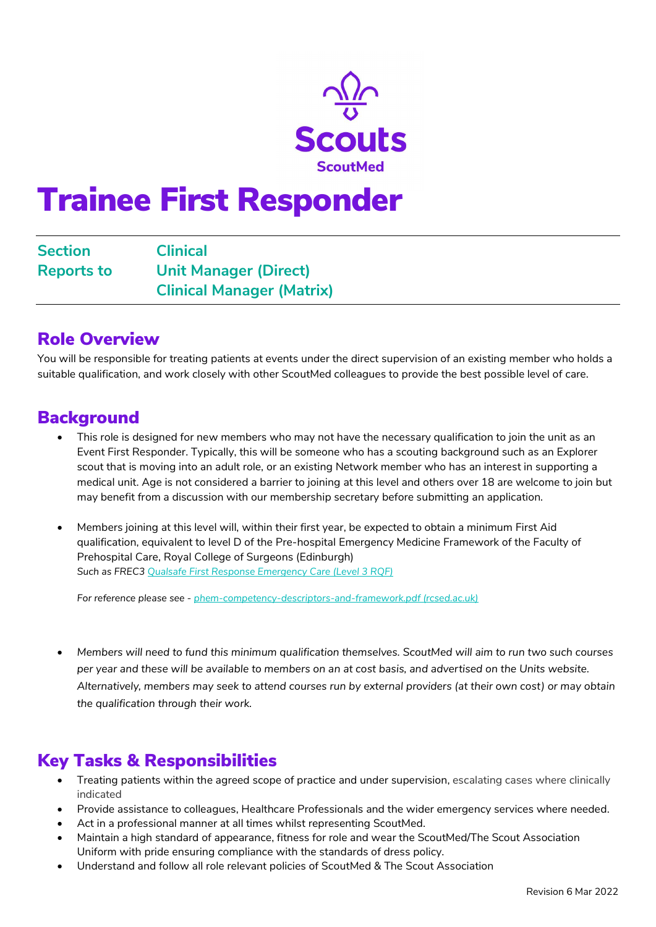

# Trainee First Responder

Section Clinical Reports to Unit Manager (Direct) Clinical Manager (Matrix)

#### Role Overview

You will be responsible for treating patients at events under the direct supervision of an existing member who holds a suitable qualification, and work closely with other ScoutMed colleagues to provide the best possible level of care.

#### Background

- This role is designed for new members who may not have the necessary qualification to join the unit as an Event First Responder. Typically, this will be someone who has a scouting background such as an Explorer scout that is moving into an adult role, or an existing Network member who has an interest in supporting a medical unit. Age is not considered a barrier to joining at this level and others over 18 are welcome to join but may benefit from a discussion with our membership secretary before submitting an application.
- Members joining at this level will, within their first year, be expected to obtain a minimum First Aid qualification, equivalent to level D of the Pre-hospital Emergency Medicine Framework of the Faculty of Prehospital Care, Royal College of Surgeons (Edinburgh) Such as FREC3 [Qualsafe First Response Emergency Care \(Level 3 RQF\)](https://qualsafeawards.org/qualifications/prehospitalcarequalifications/l3frec/)

For reference please see - [phem-competency-descriptors-and-framework.pdf \(rcsed.ac.uk\)](https://fphc.rcsed.ac.uk/media/2911/phem-competency-descriptors-and-framework.pdf)

 Members will need to fund this minimum qualification themselves. ScoutMed will aim to run two such courses per year and these will be available to members on an at cost basis, and advertised on the Units website. Alternatively, members may seek to attend courses run by external providers (at their own cost) or may obtain the qualification through their work.

### Key Tasks & Responsibilities

- Treating patients within the agreed scope of practice and under supervision, escalating cases where clinically indicated
- Provide assistance to colleagues, Healthcare Professionals and the wider emergency services where needed.
- Act in a professional manner at all times whilst representing ScoutMed.
- Maintain a high standard of appearance, fitness for role and wear the ScoutMed/The Scout Association Uniform with pride ensuring compliance with the standards of dress policy.
- Understand and follow all role relevant policies of ScoutMed & The Scout Association